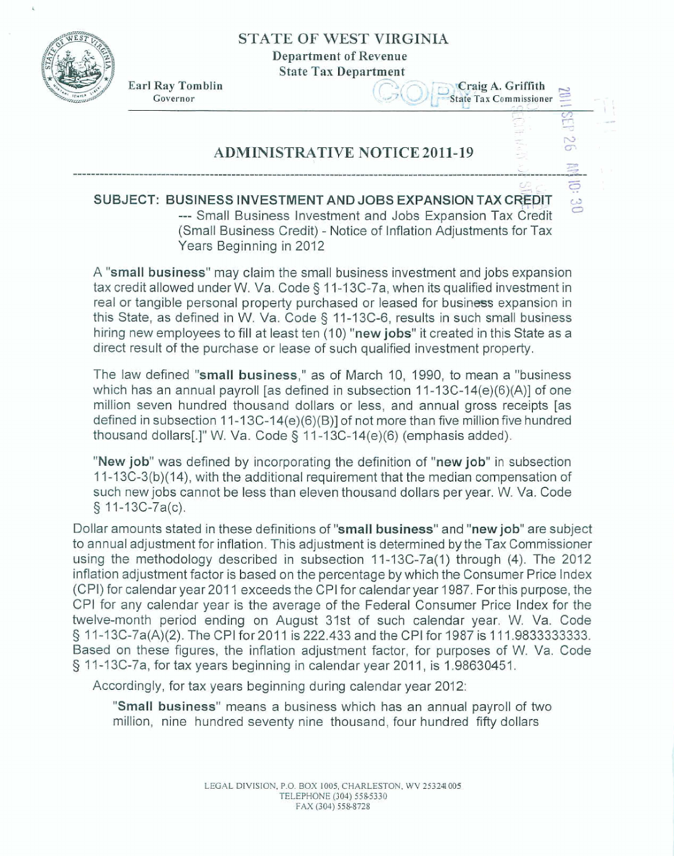### **STATE OF WEST VIRGINIA**

**Department of Revenue** 

**State Tax Department** 



Earl Ray Tomblin **State Tax Department**<br> **Earl Ray Tomblin Craig A. Griffith Example 31 By Tomblin**<br>
Governor<br>
Governor<br>
Governor<br>
Commissioner **Example 2019**<br>
Craig A. Griffith<br>
Craig A. Griffith<br>
Craig A. Griffith<br>
Craig A. Griffith<br>
Craig A. Griffith<br>
Craig A. Griffith  $r \overline{8}$  and  $r \overline{9}$  in  $r \overline{1}$  $\begin{array}{rcl}\n\hline\n\text{missioner} & \cong & \text{``}\n\end{array}$ 

 $\equiv$   $\frac{1}{1}$ 

**c7** -

**e 20** 

# **ADMINISTRATIVE NOTICE 2011-19 "--I--------** %

 $\begin{array}{c}\n\mathbb{R} \\
\mathbb{R} \\
\mathbb{R} \\
\mathbb{R}\n\end{array}$  $SUBJECT: BUSINES$  **SUBJECT: BUSINESS INVESTMENT AND JOBS EXPANSION TAX CREDIT** --- Small Business Investment and Jobs Expansion Tax Credit (Small Business Credit) - Notice of Inflation Adjustments for Tax **Years** Beginning **in** 2012

----- ---------- **<sup>L</sup>**

A "small business" may claim the small **business** investment **and jobs expansion tax credit** allowed **under** W. Va. **Code** \$ I **7 -7 3C-7a,** when its qualified investment in real or **tangible** personal property purchased or leased for business **expansion** in **this State, as defined** in W. **Va. Code 3** I <sup>I</sup>**-13C-6, results** in such small business hiring **new** employees to fill at least ten **(4 0) "new jobs"** it created in this State as a direct result of the purchase or **lease** of such **qualified** investment property.

The law defined **t'smaIl business," as** of **March** 10, **1990,** to mean a **"business**  which has an annual payroll [as defined in subsection 11-13C-14(e)(6)(A)] of one million seven hundred thousand dollars or less, and annual gross receipts **[as defined** in **subsection** I **1 -7 3C-f4(e)(6)(B)]** of not more than five million five **hundred thousand** dollars[.]" W. Va. **Code** *5* <sup>I</sup>I -1 3C-14(e)(6) **(emphasis added).** 

**"New job"** was defined by incorporating the definition of "new job" in subsection 1 1-1 **3C-3(b)(14),** with the additional requirement that the median compensation of **such** new **jobs** cannot **be less** than **eleven** thousand dollars per year. W. **Va.** Cede § 11-13C-7a(c).

Dollar amounts stated in these definitions of "small business" and "new job" are subject to annual adjustment for inflation. This adjustment is determined by the Tax Commissioner using the methodology described in subsection 11-13C-7a(1) through (4). The 2012 inflation adjustment factor is based on the percentage by which the Consumer Price Index (CPI) for calendar year 2011 exceeds the CPI for calendar year 1987. For this purpose, the CPI **for** any **calendar** year is the average of the Federal Consumer Price lndex for **the**  twelve-month period **ending on** August **31st of such** caIendar **year, W.** Va. Code **9 7** q-13C-7a(A)(2). The CPI for **201 1 is 222.433 and the** CPl for **1987 is 1** 1 **A.9833333333. Based on** these **figures,** the inflation adjustment factor, for purposes of W. Va. Code *5* 17-13G7a, for tax years beginning in calendar year 201 ?, **is** 1.98630451.

Accordingly, for tax years beginning during calendar year 2012:

"Small business" means a business which has an annual payroll of two million, nine hundred seventy nine thousand, four hundred fifty dollars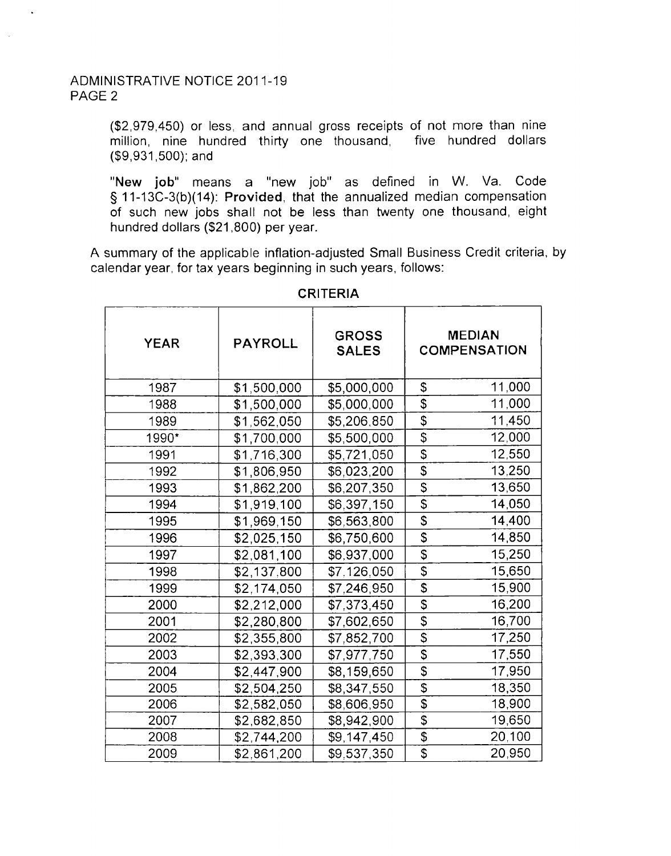#### ADMINISTRATIVE NOTICE 201 1-19 PAGE 2

(\$2,979,450) or less, and annual gross receipts of not more than nine million, nine hundred thirty one thousand, five hundred dollars (\$9,931,500): and

**"New job"** means a "new job" as defined in W. Va. Code § 11-13C-3(b)(14): **Provided,** that the annualized median compensation of such new jobs shall not be less than twenty one thousand, eight hundred dollars (\$21,800) per year.

A summary of the applicable inflation-adjusted Small Business Credit criteria, by calendar year. for tax years beginning in such years, follows:

| <b>YEAR</b> | <b>PAYROLL</b> | <b>GROSS</b><br><b>SALES</b> |                                        | <b>MEDIAN</b><br><b>COMPENSATION</b> |
|-------------|----------------|------------------------------|----------------------------------------|--------------------------------------|
| 1987        | \$1,500,000    | \$5,000,000                  | \$                                     | 11,000                               |
| 1988        | \$1,500,000    | \$5,000,000                  | \$                                     | 11,000                               |
| 1989        | \$1,562,050    | \$5,206,850                  | \$                                     | 11,450                               |
| 1990*       | \$1,700,000    | \$5,500,000                  | $\overline{\boldsymbol{\mathsf{S}}}$   | 12,000                               |
| 1991        | \$1,716,300    | \$5,721,050                  | $\overline{\mathcal{S}}$               | 12,550                               |
| 1992        | \$1,806,950    | \$6,023,200                  | \$                                     | 13,250                               |
| 1993        | \$1,862,200    | \$6,207,350                  | \$                                     | 13,650                               |
| 1994        | \$1,919,100    | \$6,397,150                  | $\overline{\$}$                        | 14,050                               |
| 1995        | \$1,969,150    | \$6,563,800                  | \$                                     | 14,400                               |
| 1996        | \$2,025,150    | \$6,750,600                  | \$                                     | 14,850                               |
| 1997        | \$2,081,100    | \$6,937,000                  | \$                                     | 15,250                               |
| 1998        | \$2,137,800    | \$7,126,050                  | $\overline{\mathcal{S}}$               | 15,650                               |
| 1999        | \$2,174,050    | \$7,246,950                  | \$                                     | 15,900                               |
| 2000        | \$2,212,000    | \$7,373,450                  | \$                                     | 16,200                               |
| 2001        | \$2,280,800    | \$7,602,650                  | \$                                     | 16,700                               |
| 2002        | \$2,355,800    | \$7,852,700                  | $\overline{\boldsymbol{\mathfrak{s}}}$ | 17,250                               |
| 2003        | \$2,393,300    | \$7,977,750                  | $\overline{\mathcal{S}}$               | 17,550                               |
| 2004        | \$2,447,900    | \$8,159,650                  | \$                                     | 17,950                               |
| 2005        | \$2,504,250    | \$8,347,550                  | $\overline{\mathcal{L}}$               | 18,350                               |
| 2006        | \$2,582,050    | \$8,606,950                  | $\overline{\$}$                        | 18,900                               |
| 2007        | \$2,682,850    | \$8,942,900                  | \$                                     | 19,650                               |
| 2008        | \$2,744,200    | \$9,147,450                  | \$                                     | 20,100                               |
| 2009        | \$2,861,200    | \$9.537,350                  | $\overline{\$}$                        | 20,950                               |

#### **CRITERIA**